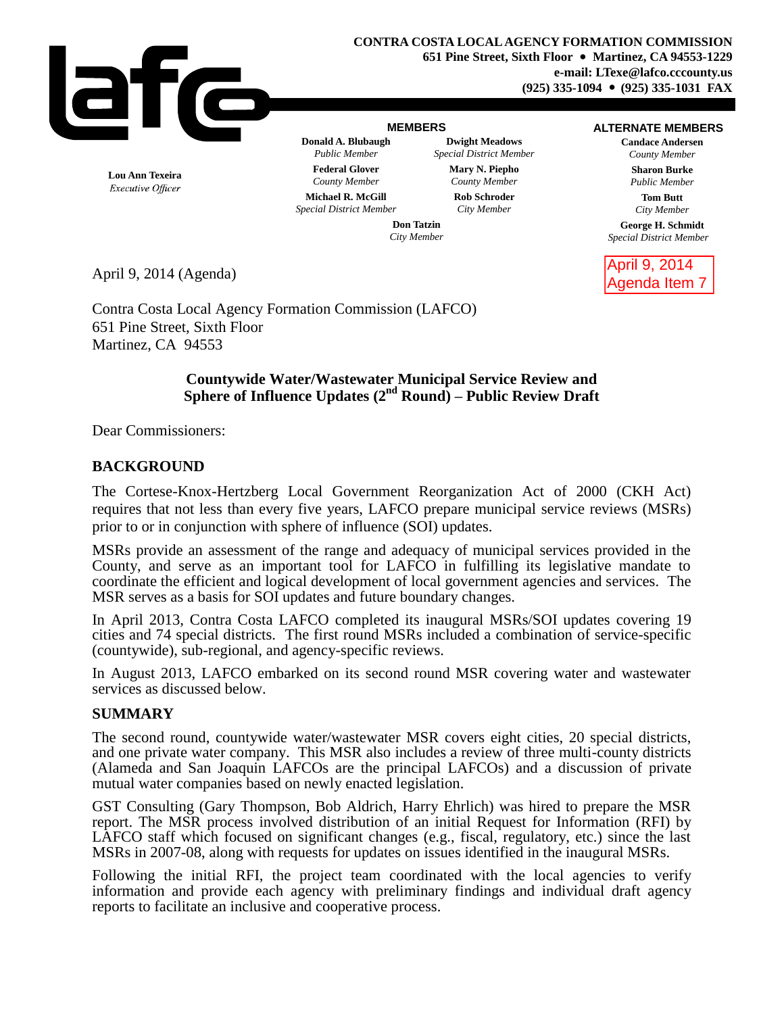

#### **MEMBERS**

**Donald A. Blubaugh Dwight Meadows** *Public Member Special District Member* **Federal Glover Mary N. Piepho** *County Member County Member*

#### **ALTERNATE MEMBERS**

**Candace Andersen** *County Member*

> **Sharon Burke** *Public Member*

**Tom Butt** *City Member*

**George H. Schmidt** *Special District Member*

April 9, 2014 Agenda Item 7

**Lou Ann Texeira** Executive Officer

**Michael R. McGill Rob Schroder** *Special District Member City Member*

**Don Tatzin** *City Member*

April 9, 2014 (Agenda)

Contra Costa Local Agency Formation Commission (LAFCO) 651 Pine Street, Sixth Floor Martinez, CA 94553

### **Countywide Water/Wastewater Municipal Service Review and Sphere of Influence Updates (2nd Round) – Public Review Draft**

Dear Commissioners:

## **BACKGROUND**

The Cortese-Knox-Hertzberg Local Government Reorganization Act of 2000 (CKH Act) requires that not less than every five years, LAFCO prepare municipal service reviews (MSRs) prior to or in conjunction with sphere of influence (SOI) updates.

MSRs provide an assessment of the range and adequacy of municipal services provided in the County, and serve as an important tool for LAFCO in fulfilling its legislative mandate to coordinate the efficient and logical development of local government agencies and services. The MSR serves as a basis for SOI updates and future boundary changes.

In April 2013, Contra Costa LAFCO completed its inaugural MSRs/SOI updates covering 19 cities and 74 special districts. The first round MSRs included a combination of service-specific (countywide), sub-regional, and agency-specific reviews.

In August 2013, LAFCO embarked on its second round MSR covering water and wastewater services as discussed below.

#### **SUMMARY**

The second round, countywide water/wastewater MSR covers eight cities, 20 special districts, and one private water company. This MSR also includes a review of three multi-county districts (Alameda and San Joaquin LAFCOs are the principal LAFCOs) and a discussion of private mutual water companies based on newly enacted legislation.

GST Consulting (Gary Thompson, Bob Aldrich, Harry Ehrlich) was hired to prepare the MSR report. The MSR process involved distribution of an initial Request for Information (RFI) by LAFCO staff which focused on significant changes (e.g., fiscal, regulatory, etc.) since the last MSRs in 2007-08, along with requests for updates on issues identified in the inaugural MSRs.

Following the initial RFI, the project team coordinated with the local agencies to verify information and provide each agency with preliminary findings and individual draft agency reports to facilitate an inclusive and cooperative process.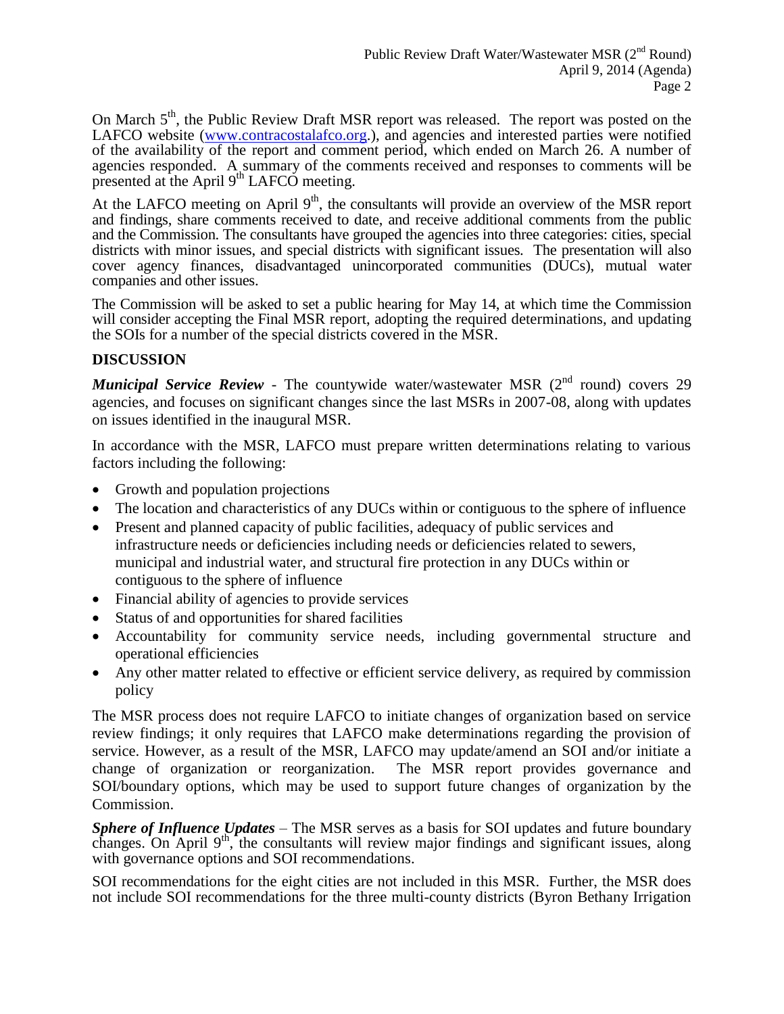On March 5<sup>th</sup>, the Public Review Draft MSR report was released. The report was posted on the LAFCO website [\(www.contracostalafco.org.](http://www.contracostalafco.org/)), and agencies and interested parties were notified of the availability of the report and comment period, which ended on March 26. A number of agencies responded. A summary of the comments received and responses to comments will be presented at the April  $9<sup>th</sup>$  LAFCO meeting.

At the LAFCO meeting on April  $9<sup>th</sup>$ , the consultants will provide an overview of the MSR report and findings, share comments received to date, and receive additional comments from the public and the Commission. The consultants have grouped the agencies into three categories: cities, special districts with minor issues, and special districts with significant issues. The presentation will also cover agency finances, disadvantaged unincorporated communities (DUCs), mutual water companies and other issues.

The Commission will be asked to set a public hearing for May 14, at which time the Commission will consider accepting the Final MSR report, adopting the required determinations, and updating the SOIs for a number of the special districts covered in the MSR.

## **DISCUSSION**

*Municipal Service Review* - The countywide water/wastewater MSR (2<sup>nd</sup> round) covers 29 agencies, and focuses on significant changes since the last MSRs in 2007-08, along with updates on issues identified in the inaugural MSR.

In accordance with the MSR, LAFCO must prepare written determinations relating to various factors including the following:

- Growth and population projections
- The location and characteristics of any DUCs within or contiguous to the sphere of influence
- Present and planned capacity of public facilities, adequacy of public services and infrastructure needs or deficiencies including needs or deficiencies related to sewers, municipal and industrial water, and structural fire protection in any DUCs within or contiguous to the sphere of influence
- Financial ability of agencies to provide services
- Status of and opportunities for shared facilities
- Accountability for community service needs, including governmental structure and operational efficiencies
- Any other matter related to effective or efficient service delivery, as required by commission policy

The MSR process does not require LAFCO to initiate changes of organization based on service review findings; it only requires that LAFCO make determinations regarding the provision of service. However, as a result of the MSR, LAFCO may update/amend an SOI and/or initiate a change of organization or reorganization. The MSR report provides governance and SOI/boundary options, which may be used to support future changes of organization by the Commission.

*Sphere of Influence Updates* – The MSR serves as a basis for SOI updates and future boundary changes. On April 9<sup>th</sup>, the consultants will review major findings and significant issues, along with governance options and SOI recommendations.

SOI recommendations for the eight cities are not included in this MSR. Further, the MSR does not include SOI recommendations for the three multi-county districts (Byron Bethany Irrigation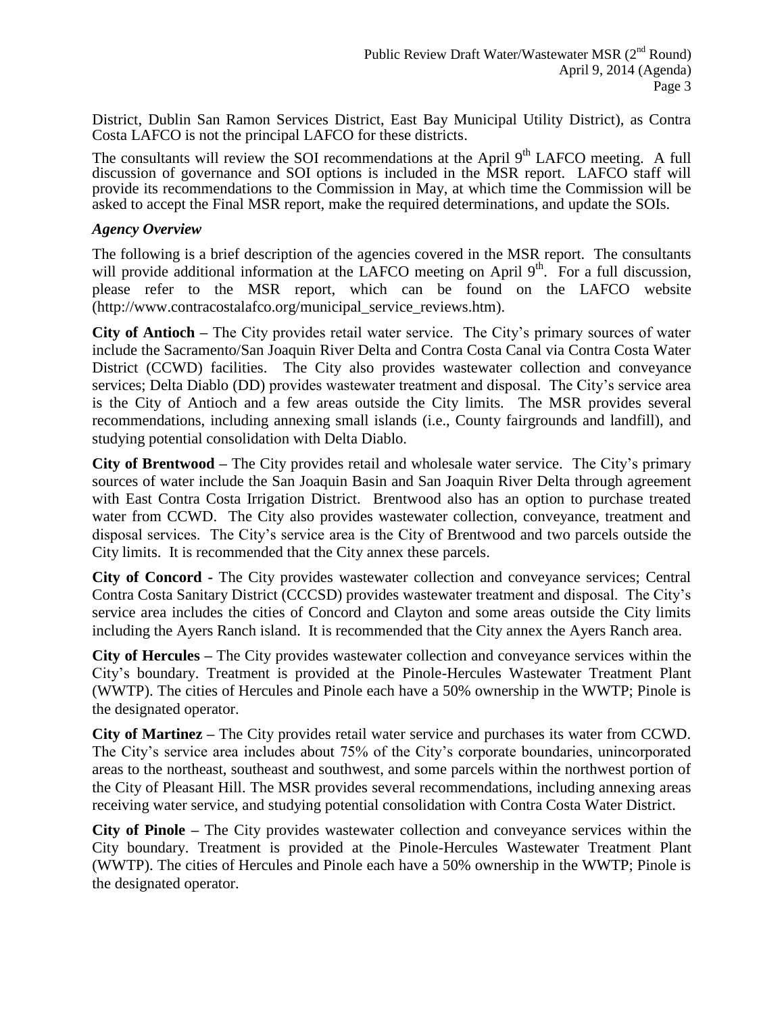District, Dublin San Ramon Services District, East Bay Municipal Utility District), as Contra Costa LAFCO is not the principal LAFCO for these districts.

The consultants will review the SOI recommendations at the April 9<sup>th</sup> LAFCO meeting. A full discussion of governance and SOI options is included in the MSR report. LAFCO staff will provide its recommendations to the Commission in May, at which time the Commission will be asked to accept the Final MSR report, make the required determinations, and update the SOIs.

#### *Agency Overview*

The following is a brief description of the agencies covered in the MSR report. The consultants will provide additional information at the LAFCO meeting on April  $9<sup>th</sup>$ . For a full discussion, please refer to the MSR report, which can be found on the LAFCO website (http://www.contracostalafco.org/municipal\_service\_reviews.htm).

**City of Antioch –** The City provides retail water service. The City's primary sources of water include the Sacramento/San Joaquin River Delta and Contra Costa Canal via Contra Costa Water District (CCWD) facilities. The City also provides wastewater collection and conveyance services; Delta Diablo (DD) provides wastewater treatment and disposal. The City's service area is the City of Antioch and a few areas outside the City limits. The MSR provides several recommendations, including annexing small islands (i.e., County fairgrounds and landfill), and studying potential consolidation with Delta Diablo.

**City of Brentwood –** The City provides retail and wholesale water service. The City's primary sources of water include the San Joaquin Basin and San Joaquin River Delta through agreement with East Contra Costa Irrigation District. Brentwood also has an option to purchase treated water from CCWD. The City also provides wastewater collection, conveyance, treatment and disposal services. The City's service area is the City of Brentwood and two parcels outside the City limits. It is recommended that the City annex these parcels.

**City of Concord -** The City provides wastewater collection and conveyance services; Central Contra Costa Sanitary District (CCCSD) provides wastewater treatment and disposal. The City's service area includes the cities of Concord and Clayton and some areas outside the City limits including the Ayers Ranch island. It is recommended that the City annex the Ayers Ranch area.

**City of Hercules –** The City provides wastewater collection and conveyance services within the City's boundary. Treatment is provided at the Pinole-Hercules Wastewater Treatment Plant (WWTP). The cities of Hercules and Pinole each have a 50% ownership in the WWTP; Pinole is the designated operator.

**City of Martinez –** The City provides retail water service and purchases its water from CCWD. The City's service area includes about 75% of the City's corporate boundaries, unincorporated areas to the northeast, southeast and southwest, and some parcels within the northwest portion of the City of Pleasant Hill. The MSR provides several recommendations, including annexing areas receiving water service, and studying potential consolidation with Contra Costa Water District.

**City of Pinole –** The City provides wastewater collection and conveyance services within the City boundary. Treatment is provided at the Pinole-Hercules Wastewater Treatment Plant (WWTP). The cities of Hercules and Pinole each have a 50% ownership in the WWTP; Pinole is the designated operator.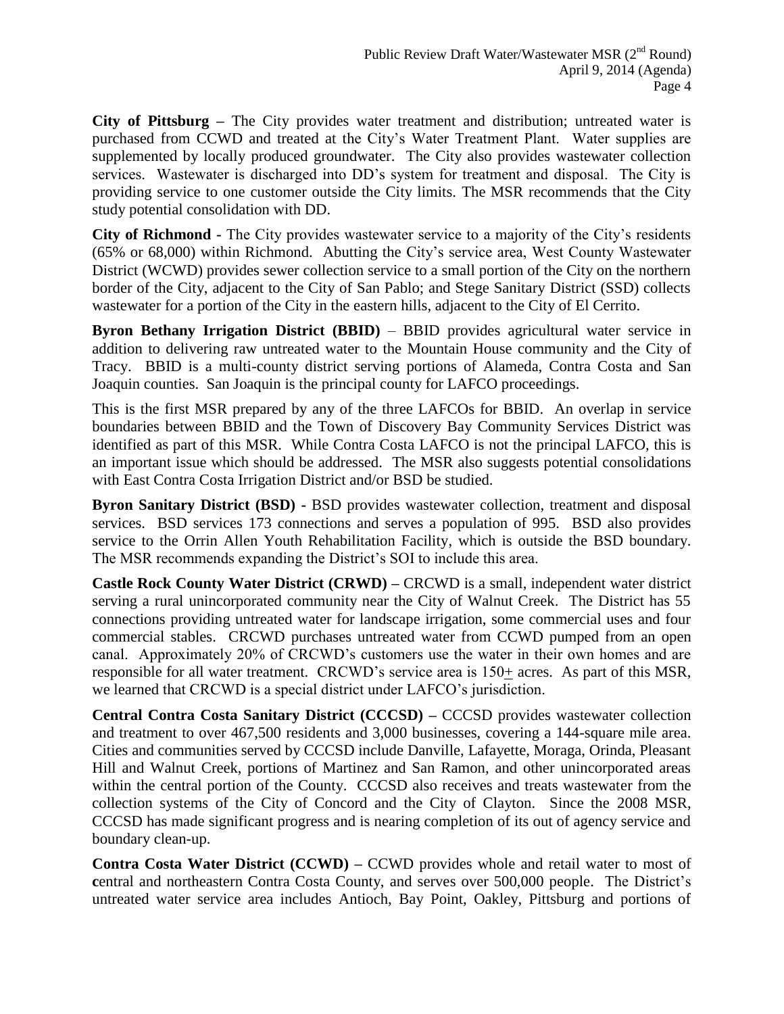**City of Pittsburg –** The City provides water treatment and distribution; untreated water is purchased from CCWD and treated at the City's Water Treatment Plant. Water supplies are supplemented by locally produced groundwater. The City also provides wastewater collection services. Wastewater is discharged into DD's system for treatment and disposal. The City is providing service to one customer outside the City limits. The MSR recommends that the City study potential consolidation with DD.

**City of Richmond -** The City provides wastewater service to a majority of the City's residents (65% or 68,000) within Richmond. Abutting the City's service area, West County Wastewater District (WCWD) provides sewer collection service to a small portion of the City on the northern border of the City, adjacent to the City of San Pablo; and Stege Sanitary District (SSD) collects wastewater for a portion of the City in the eastern hills, adjacent to the City of El Cerrito.

**Byron Bethany Irrigation District (BBID)** – BBID provides agricultural water service in addition to delivering raw untreated water to the Mountain House community and the City of Tracy. BBID is a multi-county district serving portions of Alameda, Contra Costa and San Joaquin counties. San Joaquin is the principal county for LAFCO proceedings.

This is the first MSR prepared by any of the three LAFCOs for BBID. An overlap in service boundaries between BBID and the Town of Discovery Bay Community Services District was identified as part of this MSR. While Contra Costa LAFCO is not the principal LAFCO, this is an important issue which should be addressed. The MSR also suggests potential consolidations with East Contra Costa Irrigation District and/or BSD be studied.

**Byron Sanitary District (BSD) -** BSD provides wastewater collection, treatment and disposal services. BSD services 173 connections and serves a population of 995. BSD also provides service to the Orrin Allen Youth Rehabilitation Facility, which is outside the BSD boundary. The MSR recommends expanding the District's SOI to include this area.

**Castle Rock County Water District (CRWD) –** CRCWD is a small, independent water district serving a rural unincorporated community near the City of Walnut Creek. The District has 55 connections providing untreated water for landscape irrigation, some commercial uses and four commercial stables. CRCWD purchases untreated water from CCWD pumped from an open canal. Approximately 20% of CRCWD's customers use the water in their own homes and are responsible for all water treatment. CRCWD's service area is 150+ acres. As part of this MSR, we learned that CRCWD is a special district under LAFCO's jurisdiction.

**Central Contra Costa Sanitary District (CCCSD) –** CCCSD provides wastewater collection and treatment to over 467,500 residents and 3,000 businesses, covering a 144-square mile area. Cities and communities served by CCCSD include Danville, Lafayette, Moraga, Orinda, Pleasant Hill and Walnut Creek, portions of Martinez and San Ramon, and other unincorporated areas within the central portion of the County. CCCSD also receives and treats wastewater from the collection systems of the City of Concord and the City of Clayton. Since the 2008 MSR, CCCSD has made significant progress and is nearing completion of its out of agency service and boundary clean-up.

**Contra Costa Water District (CCWD) –** CCWD provides whole and retail water to most of **c**entral and northeastern Contra Costa County, and serves over 500,000 people. The District's untreated water service area includes Antioch, Bay Point, Oakley, Pittsburg and portions of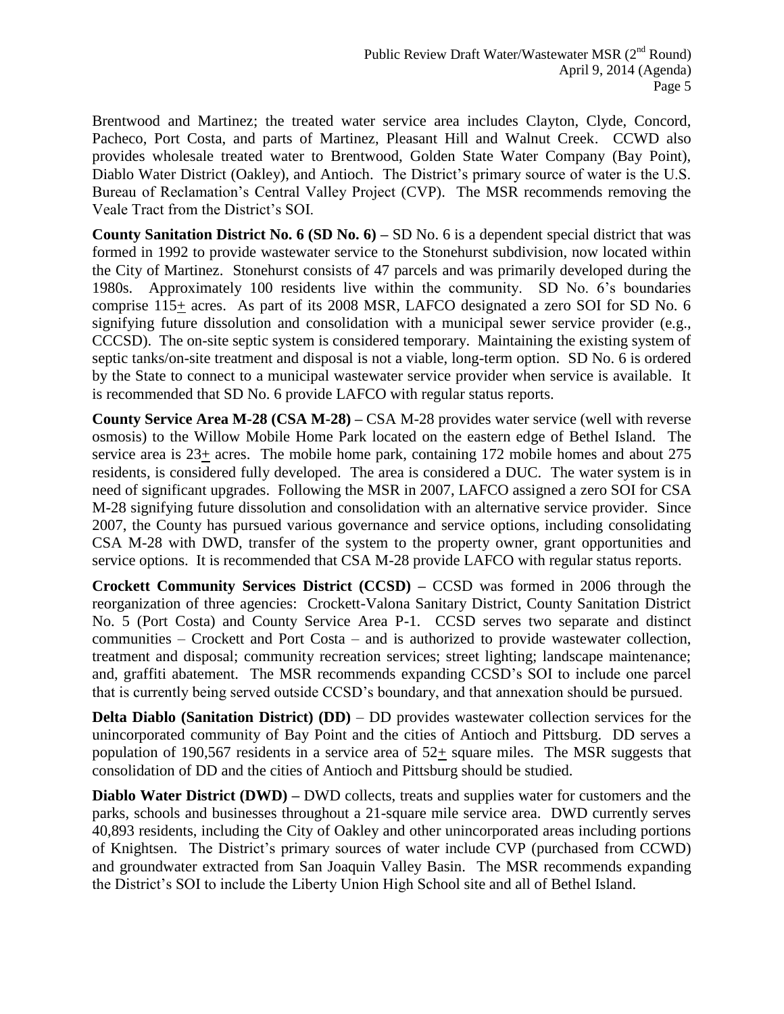Brentwood and Martinez; the treated water service area includes Clayton, Clyde, Concord, Pacheco, Port Costa, and parts of Martinez, Pleasant Hill and Walnut Creek. CCWD also provides wholesale treated water to Brentwood, Golden State Water Company (Bay Point), Diablo Water District (Oakley), and Antioch. The District's primary source of water is the U.S. Bureau of Reclamation's Central Valley Project (CVP). The MSR recommends removing the Veale Tract from the District's SOI.

**County Sanitation District No. 6 (SD No. 6) –** SD No. 6 is a dependent special district that was formed in 1992 to provide wastewater service to the Stonehurst subdivision, now located within the City of Martinez. Stonehurst consists of 47 parcels and was primarily developed during the 1980s. Approximately 100 residents live within the community. SD No. 6's boundaries comprise 115+ acres. As part of its 2008 MSR, LAFCO designated a zero SOI for SD No. 6 signifying future dissolution and consolidation with a municipal sewer service provider (e.g., CCCSD). The on-site septic system is considered temporary. Maintaining the existing system of septic tanks/on-site treatment and disposal is not a viable, long-term option. SD No. 6 is ordered by the State to connect to a municipal wastewater service provider when service is available. It is recommended that SD No. 6 provide LAFCO with regular status reports.

**County Service Area M-28 (CSA M-28) –** CSA M-28 provides water service (well with reverse osmosis) to the Willow Mobile Home Park located on the eastern edge of Bethel Island. The service area is 23+ acres. The mobile home park, containing 172 mobile homes and about 275 residents, is considered fully developed. The area is considered a DUC. The water system is in need of significant upgrades. Following the MSR in 2007, LAFCO assigned a zero SOI for CSA M-28 signifying future dissolution and consolidation with an alternative service provider. Since 2007, the County has pursued various governance and service options, including consolidating CSA M-28 with DWD, transfer of the system to the property owner, grant opportunities and service options. It is recommended that CSA M-28 provide LAFCO with regular status reports.

**Crockett Community Services District (CCSD) –** CCSD was formed in 2006 through the reorganization of three agencies: Crockett-Valona Sanitary District, County Sanitation District No. 5 (Port Costa) and County Service Area P-1. CCSD serves two separate and distinct communities – Crockett and Port Costa – and is authorized to provide wastewater collection, treatment and disposal; community recreation services; street lighting; landscape maintenance; and, graffiti abatement. The MSR recommends expanding CCSD's SOI to include one parcel that is currently being served outside CCSD's boundary, and that annexation should be pursued.

**Delta Diablo (Sanitation District) (DD)** – DD provides wastewater collection services for the unincorporated community of Bay Point and the cities of Antioch and Pittsburg. DD serves a population of 190,567 residents in a service area of 52+ square miles. The MSR suggests that consolidation of DD and the cities of Antioch and Pittsburg should be studied.

**Diablo Water District (DWD)** – DWD collects, treats and supplies water for customers and the parks, schools and businesses throughout a 21-square mile service area. DWD currently serves 40,893 residents, including the City of Oakley and other unincorporated areas including portions of Knightsen. The District's primary sources of water include CVP (purchased from CCWD) and groundwater extracted from San Joaquin Valley Basin. The MSR recommends expanding the District's SOI to include the Liberty Union High School site and all of Bethel Island.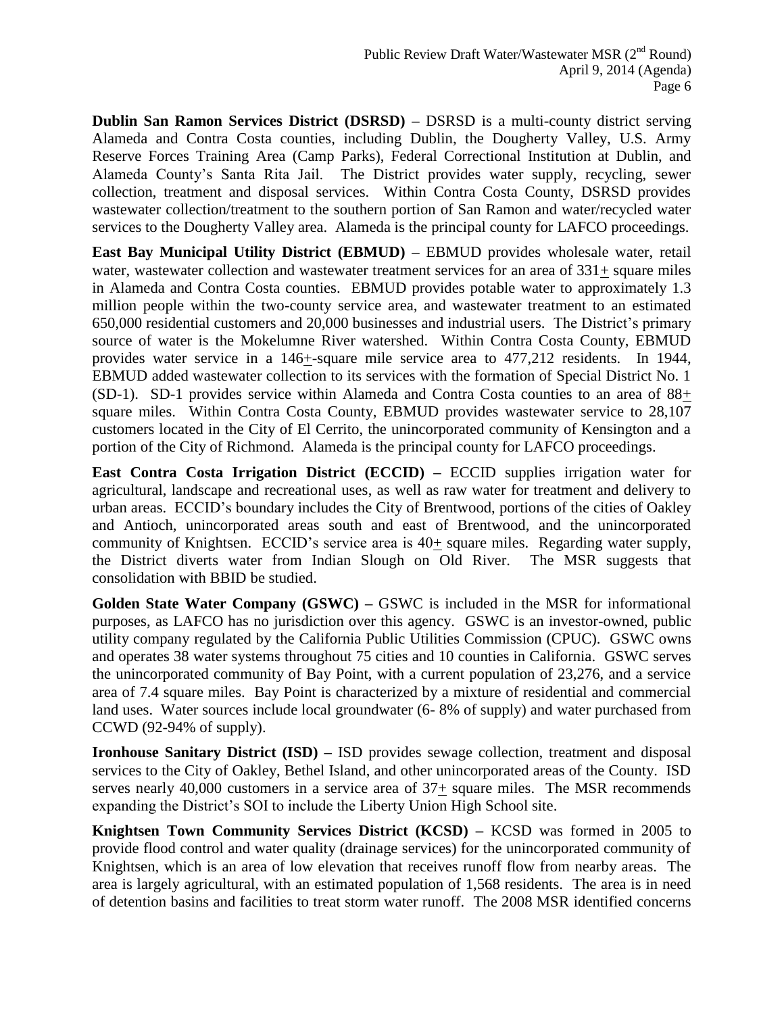**Dublin San Ramon Services District (DSRSD) –** DSRSD is a multi-county district serving Alameda and Contra Costa counties, including Dublin, the Dougherty Valley, U.S. Army Reserve Forces Training Area (Camp Parks), Federal Correctional Institution at Dublin, and Alameda County's Santa Rita Jail. The District provides water supply, recycling, sewer collection, treatment and disposal services. Within Contra Costa County, DSRSD provides wastewater collection/treatment to the southern portion of San Ramon and water/recycled water services to the Dougherty Valley area. Alameda is the principal county for LAFCO proceedings.

**East Bay Municipal Utility District (EBMUD) –** EBMUD provides wholesale water, retail water, wastewater collection and wastewater treatment services for an area of  $331+$  square miles in Alameda and Contra Costa counties. EBMUD provides potable water to approximately 1.3 million people within the two-county service area, and wastewater treatment to an estimated 650,000 residential customers and 20,000 businesses and industrial users. The District's primary source of water is the Mokelumne River watershed. Within Contra Costa County, EBMUD provides water service in a 146+-square mile service area to 477,212 residents. In 1944, EBMUD added wastewater collection to its services with the formation of Special District No. 1 (SD-1). SD-1 provides service within Alameda and Contra Costa counties to an area of 88+ square miles. Within Contra Costa County, EBMUD provides wastewater service to 28,107 customers located in the City of El Cerrito, the unincorporated community of Kensington and a portion of the City of Richmond. Alameda is the principal county for LAFCO proceedings.

**East Contra Costa Irrigation District (ECCID) –** ECCID supplies irrigation water for agricultural, landscape and recreational uses, as well as raw water for treatment and delivery to urban areas. ECCID's boundary includes the City of Brentwood, portions of the cities of Oakley and Antioch, unincorporated areas south and east of Brentwood, and the unincorporated community of Knightsen. ECCID's service area is 40+ square miles. Regarding water supply, the District diverts water from Indian Slough on Old River. The MSR suggests that consolidation with BBID be studied.

**Golden State Water Company (GSWC) –** GSWC is included in the MSR for informational purposes, as LAFCO has no jurisdiction over this agency. GSWC is an investor-owned, public utility company regulated by the California Public Utilities Commission (CPUC). GSWC owns and operates 38 water systems throughout 75 cities and 10 counties in California. GSWC serves the unincorporated community of Bay Point, with a current population of 23,276, and a service area of 7.4 square miles. Bay Point is characterized by a mixture of residential and commercial land uses. Water sources include local groundwater (6- 8% of supply) and water purchased from CCWD (92-94% of supply).

**Ironhouse Sanitary District (ISD) –** ISD provides sewage collection, treatment and disposal services to the City of Oakley, Bethel Island, and other unincorporated areas of the County. ISD serves nearly 40,000 customers in a service area of  $37<sub>±</sub>$  square miles. The MSR recommends expanding the District's SOI to include the Liberty Union High School site.

**Knightsen Town Community Services District (KCSD) –** KCSD was formed in 2005 to provide flood control and water quality (drainage services) for the unincorporated community of Knightsen, which is an area of low elevation that receives runoff flow from nearby areas. The area is largely agricultural, with an estimated population of 1,568 residents. The area is in need of detention basins and facilities to treat storm water runoff. The 2008 MSR identified concerns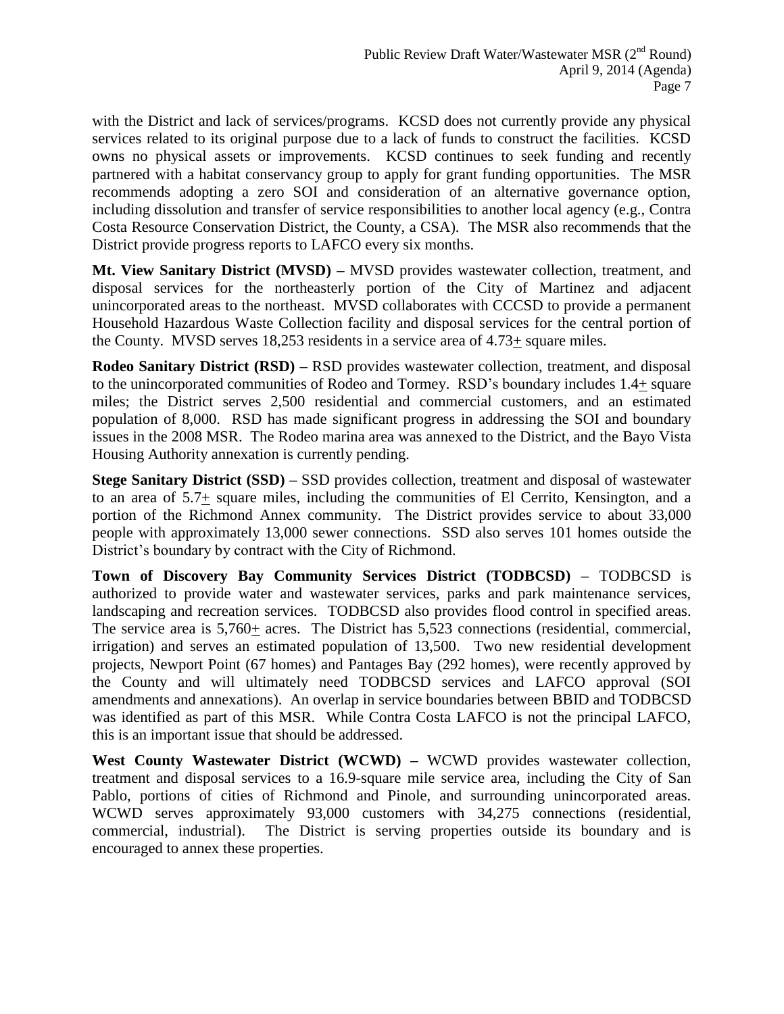with the District and lack of services/programs. KCSD does not currently provide any physical services related to its original purpose due to a lack of funds to construct the facilities. KCSD owns no physical assets or improvements. KCSD continues to seek funding and recently partnered with a habitat conservancy group to apply for grant funding opportunities. The MSR recommends adopting a zero SOI and consideration of an alternative governance option, including dissolution and transfer of service responsibilities to another local agency (e.g., Contra Costa Resource Conservation District, the County, a CSA). The MSR also recommends that the District provide progress reports to LAFCO every six months.

**Mt. View Sanitary District (MVSD) –** MVSD provides wastewater collection, treatment, and disposal services for the northeasterly portion of the City of Martinez and adjacent unincorporated areas to the northeast. MVSD collaborates with CCCSD to provide a permanent Household Hazardous Waste Collection facility and disposal services for the central portion of the County. MVSD serves 18,253 residents in a service area of 4.73+ square miles.

**Rodeo Sanitary District (RSD) –** RSD provides wastewater collection, treatment, and disposal to the unincorporated communities of Rodeo and Tormey. RSD's boundary includes 1.4+ square miles; the District serves 2,500 residential and commercial customers, and an estimated population of 8,000. RSD has made significant progress in addressing the SOI and boundary issues in the 2008 MSR. The Rodeo marina area was annexed to the District, and the Bayo Vista Housing Authority annexation is currently pending.

**Stege Sanitary District (SSD) –** SSD provides collection, treatment and disposal of wastewater to an area of 5.7+ square miles, including the communities of El Cerrito, Kensington, and a portion of the Richmond Annex community. The District provides service to about 33,000 people with approximately 13,000 sewer connections. SSD also serves 101 homes outside the District's boundary by contract with the City of Richmond.

**Town of Discovery Bay Community Services District (TODBCSD) –** TODBCSD is authorized to provide water and wastewater services, parks and park maintenance services, landscaping and recreation services. TODBCSD also provides flood control in specified areas. The service area is  $5,760+$  acres. The District has  $5,523$  connections (residential, commercial, irrigation) and serves an estimated population of 13,500. Two new residential development projects, Newport Point (67 homes) and Pantages Bay (292 homes), were recently approved by the County and will ultimately need TODBCSD services and LAFCO approval (SOI amendments and annexations). An overlap in service boundaries between BBID and TODBCSD was identified as part of this MSR. While Contra Costa LAFCO is not the principal LAFCO, this is an important issue that should be addressed.

**West County Wastewater District (WCWD) –** WCWD provides wastewater collection, treatment and disposal services to a 16.9-square mile service area, including the City of San Pablo, portions of cities of Richmond and Pinole, and surrounding unincorporated areas. WCWD serves approximately 93,000 customers with 34,275 connections (residential, commercial, industrial). The District is serving properties outside its boundary and is encouraged to annex these properties.